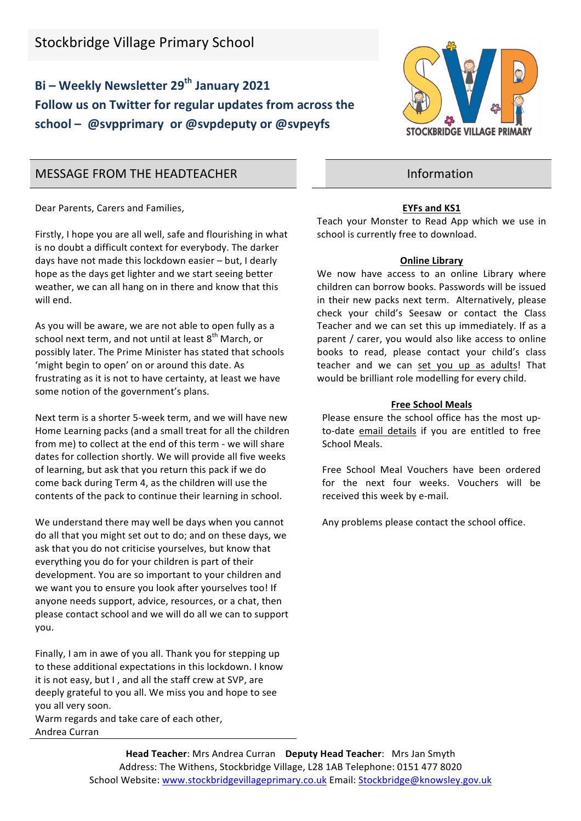## **Bi** – Weekly Newsletter 29<sup>th</sup> January 2021 Follow us on Twitter for regular updates from across the school – @svpprimary or @svpdeputy or @svpeyfs



## MESSAGE FROM THE HEADTEACHER **Information**

Dear Parents, Carers and Families,

Firstly, I hope you are all well, safe and flourishing in what is no doubt a difficult context for everybody. The darker days have not made this lockdown easier - but, I dearly hope as the days get lighter and we start seeing better weather, we can all hang on in there and know that this will end.

As you will be aware, we are not able to open fully as a school next term, and not until at least  $8<sup>th</sup>$  March, or possibly later. The Prime Minister has stated that schools 'might begin to open' on or around this date. As frustrating as it is not to have certainty, at least we have some notion of the government's plans.

Next term is a shorter 5-week term, and we will have new Home Learning packs (and a small treat for all the children from me) to collect at the end of this term - we will share dates for collection shortly. We will provide all five weeks of learning, but ask that you return this pack if we do come back during Term 4, as the children will use the contents of the pack to continue their learning in school.

We understand there may well be days when you cannot do all that you might set out to do; and on these days, we ask that you do not criticise yourselves, but know that everything you do for your children is part of their development. You are so important to your children and we want you to ensure you look after yourselves too! If anyone needs support, advice, resources, or a chat, then please contact school and we will do all we can to support you. 

Finally, I am in awe of you all. Thank you for stepping up to these additional expectations in this lockdown. I know it is not easy, but I, and all the staff crew at SVP, are deeply grateful to you all. We miss you and hope to see you all very soon.

Warm regards and take care of each other, Andrea Curran 

# **EYFs and KS1**

Teach your Monster to Read App which we use in school is currently free to download.

#### **Online Library**

We now have access to an online Library where children can borrow books. Passwords will be issued in their new packs next term. Alternatively, please check your child's Seesaw or contact the Class Teacher and we can set this up immediately. If as a parent / carer, you would also like access to online books to read, please contact your child's class teacher and we can set you up as adults! That would be brilliant role modelling for every child.

#### **Free School Meals**

Please ensure the school office has the most upto-date email details if you are entitled to free School Meals.

Free School Meal Vouchers have been ordered for the next four weeks. Vouchers will be received this week by e-mail.

Any problems please contact the school office.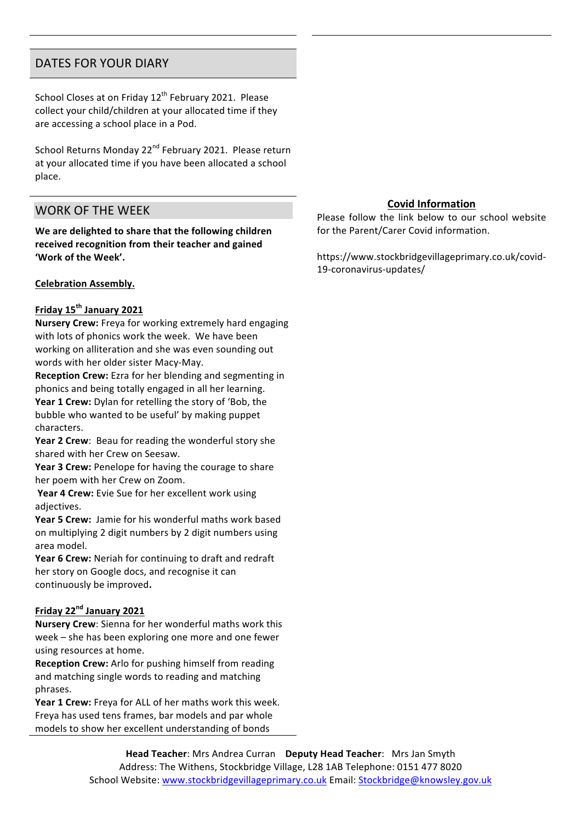## DATES FOR YOUR DIARY

School Closes at on Friday  $12<sup>th</sup>$  February 2021. Please collect your child/children at your allocated time if they are accessing a school place in a Pod.

School Returns Monday 22<sup>nd</sup> February 2021. Please return at your allocated time if you have been allocated a school place.

## WORK OF THE WEEK

We are delighted to share that the following children received recognition from their teacher and gained 'Work of the Week'.

#### **Celebration Assembly.**

#### **Friday 15th January 2021**

**Nursery Crew:** Freya for working extremely hard engaging with lots of phonics work the week. We have been working on alliteration and she was even sounding out words with her older sister Macy-May.

**Reception Crew:** Ezra for her blending and segmenting in phonics and being totally engaged in all her learning.

**Year 1 Crew:** Dylan for retelling the story of 'Bob, the bubble who wanted to be useful' by making puppet characters.

**Year 2 Crew:** Beau for reading the wonderful story she shared with her Crew on Seesaw.

**Year 3 Crew:** Penelope for having the courage to share her poem with her Crew on Zoom.

**Year 4 Crew:** Evie Sue for her excellent work using adjectives.

**Year 5 Crew:** Jamie for his wonderful maths work based on multiplying 2 digit numbers by 2 digit numbers using area model.

**Year 6 Crew:** Neriah for continuing to draft and redraft her story on Google docs, and recognise it can continuously be improved.

#### **Friday 22nd January 2021**

**Nursery Crew**: Sienna for her wonderful maths work this week – she has been exploring one more and one fewer using resources at home.

**Reception Crew:** Arlo for pushing himself from reading and matching single words to reading and matching phrases.

**Year 1 Crew:** Freya for ALL of her maths work this week. Freya has used tens frames, bar models and par whole models to show her excellent understanding of bonds

#### **Covid Information**

Please follow the link below to our school website for the Parent/Carer Covid information.

https://www.stockbridgevillageprimary.co.uk/covid-19-coronavirus-updates/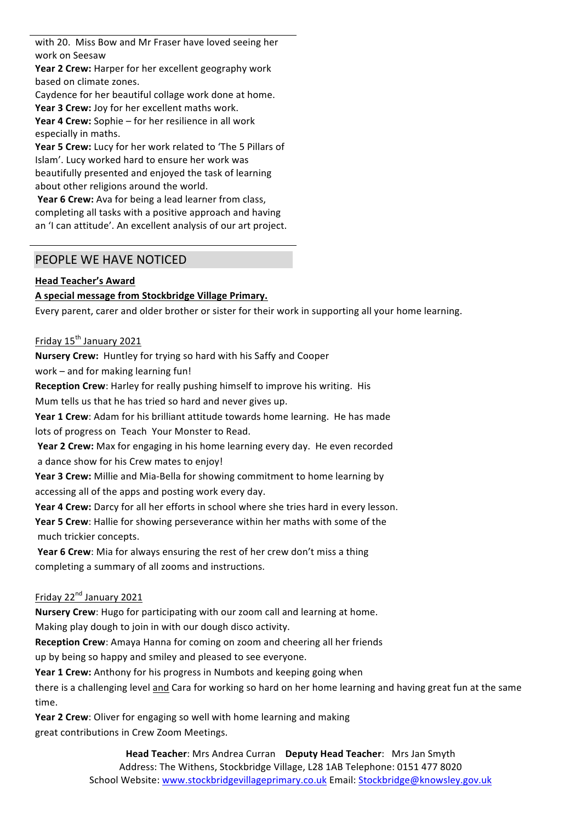with 20. Miss Bow and Mr Fraser have loved seeing her work on Seesaw

Year 2 Crew: Harper for her excellent geography work based on climate zones.

Caydence for her beautiful collage work done at home.

Year 3 Crew: Joy for her excellent maths work.

**Year 4 Crew:** Sophie – for her resilience in all work especially in maths.

**Year 5 Crew:** Lucy for her work related to 'The 5 Pillars of Islam'. Lucy worked hard to ensure her work was beautifully presented and enjoyed the task of learning about other religions around the world.

**Year 6 Crew:** Ava for being a lead learner from class, completing all tasks with a positive approach and having an 'I can attitude'. An excellent analysis of our art project.

## PEOPLE WE HAVE NOTICED

#### **Head Teacher's Award**

## **A special message from Stockbridge Village Primary.**

Every parent, carer and older brother or sister for their work in supporting all your home learning.

Friday 15<sup>th</sup> January 2021

**Nursery Crew:** Huntley for trying so hard with his Saffy and Cooper work  $-$  and for making learning fun!

**Reception Crew:** Harley for really pushing himself to improve his writing. His Mum tells us that he has tried so hard and never gives up.

**Year 1 Crew:** Adam for his brilliant attitude towards home learning. He has made lots of progress on Teach Your Monster to Read.

**Year 2 Crew:** Max for engaging in his home learning every day. He even recorded a dance show for his Crew mates to enjoy!

**Year 3 Crew:** Millie and Mia-Bella for showing commitment to home learning by accessing all of the apps and posting work every day.

**Year 4 Crew:** Darcy for all her efforts in school where she tries hard in every lesson.

**Year 5 Crew:** Hallie for showing perseverance within her maths with some of the much trickier concepts.

**Year 6 Crew**: Mia for always ensuring the rest of her crew don't miss a thing completing a summary of all zooms and instructions.

## Friday 22<sup>nd</sup> January 2021

**Nursery Crew**: Hugo for participating with our zoom call and learning at home. Making play dough to join in with our dough disco activity.

**Reception Crew:** Amaya Hanna for coming on zoom and cheering all her friends

up by being so happy and smiley and pleased to see everyone.

**Year 1 Crew:** Anthony for his progress in Numbots and keeping going when

there is a challenging level and Cara for working so hard on her home learning and having great fun at the same time.

**Year 2 Crew:** Oliver for engaging so well with home learning and making great contributions in Crew Zoom Meetings.